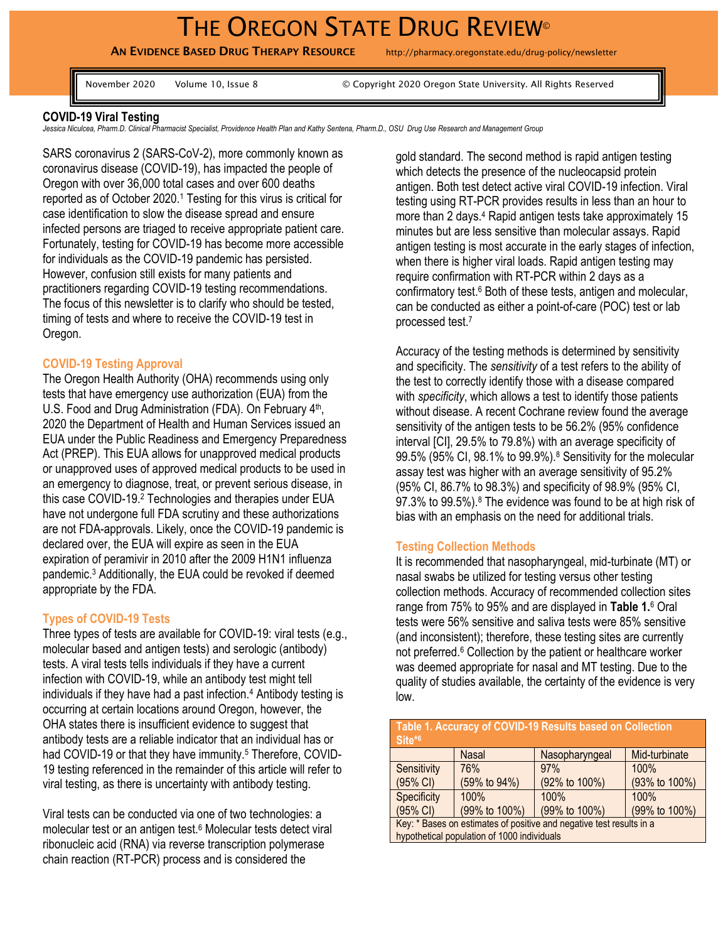# THE OREGON STATE DRUG REVIEW<sup>®</sup>

AN EVIDENCE BASED DRUG THERAPY RESOURCE http://pharmacy.oregonstate.edu/drug-policy/newsletter

November 2020 Volume 10, Issue 8 © Copyright 2020 Oregon State University. All Rights Reserved

## **COVID-19 Viral Testing**

Jessica Niculcea, Pharm.D. Clinical Pharmacist Specialist, Providence Health Plan and Kathy Sentena, Pharm.D., OSU Drug Use Research and Management Group

SARS coronavirus 2 (SARS-CoV-2), more commonly known as coronavirus disease (COVID-19), has impacted the people of Oregon with over 36,000 total cases and over 600 deaths reported as of October 2020.<sup>1</sup> Testing for this virus is critical for case identification to slow the disease spread and ensure infected persons are triaged to receive appropriate patient care. Fortunately, testing for COVID-19 has become more accessible for individuals as the COVID-19 pandemic has persisted. However, confusion still exists for many patients and practitioners regarding COVID-19 testing recommendations. The focus of this newsletter is to clarify who should be tested, timing of tests and where to receive the COVID-19 test in Oregon.

#### **COVID-19 Testing Approval**

The Oregon Health Authority (OHA) recommends using only tests that have emergency use authorization (EUA) from the U.S. Food and Drug Administration (FDA). On February 4<sup>th</sup>, 2020 the Department of Health and Human Services issued an EUA under the Public Readiness and Emergency Preparedness Act (PREP). This EUA allows for unapproved medical products or unapproved uses of approved medical products to be used in an emergency to diagnose, treat, or prevent serious disease, in this case COVID-19.<sup>2</sup> Technologies and therapies under EUA have not undergone full FDA scrutiny and these authorizations are not FDA-approvals. Likely, once the COVID-19 pandemic is declared over, the EUA will expire as seen in the EUA expiration of peramivir in 2010 after the 2009 H1N1 influenza pandemic. <sup>3</sup> Additionally, the EUA could be revoked if deemed appropriate by the FDA.

#### **Types of COVID-19 Tests**

Three types of tests are available for COVID-19: viral tests (e.g., molecular based and antigen tests) and serologic (antibody) tests. A viral tests tells individuals if they have a current infection with COVID-19, while an antibody test might tell individuals if they have had a past infection.<sup>4</sup> Antibody testing is occurring at certain locations around Oregon, however, the OHA states there is insufficient evidence to suggest that antibody tests are a reliable indicator that an individual has or had COVID-19 or that they have immunity.<sup>5</sup> Therefore, COVID-19 testing referenced in the remainder of this article will refer to viral testing, as there is uncertainty with antibody testing.

Viral tests can be conducted via one of two technologies: a molecular test or an antigen test.<sup>6</sup> Molecular tests detect viral ribonucleic acid (RNA) via reverse transcription polymerase chain reaction (RT-PCR) process and is considered the

gold standard. The second method is rapid antigen testing which detects the presence of the nucleocapsid protein antigen. Both test detect active viral COVID-19 infection. Viral testing using RT-PCR provides results in less than an hour to more than 2 days. <sup>4</sup> Rapid antigen tests take approximately 15 minutes but are less sensitive than molecular assays. Rapid antigen testing is most accurate in the early stages of infection, when there is higher viral loads. Rapid antigen testing may require confirmation with RT-PCR within 2 days as a confirmatory test. <sup>6</sup> Both of these tests, antigen and molecular, can be conducted as either a point-of-care (POC) test or lab processed test.<sup>7</sup>

Accuracy of the testing methods is determined by sensitivity and specificity. The *sensitivity* of a test refers to the ability of the test to correctly identify those with a disease compared with *specificity*, which allows a test to identify those patients without disease. A recent Cochrane review found the average sensitivity of the antigen tests to be 56.2% (95% confidence interval [CI], 29.5% to 79.8%) with an average specificity of 99.5% (95% CI, 98.1% to 99.9%).<sup>8</sup> Sensitivity for the molecular assay test was higher with an average sensitivity of 95.2% (95% CI, 86.7% to 98.3%) and specificity of 98.9% (95% CI, 97.3% to 99.5%).<sup>8</sup> The evidence was found to be at high risk of bias with an emphasis on the need for additional trials.

#### **Testing Collection Methods**

It is recommended that nasopharyngeal, mid-turbinate (MT) or nasal swabs be utilized for testing versus other testing collection methods. Accuracy of recommended collection sites range from 75% to 95% and are displayed in **Table 1.**<sup>6</sup> Oral tests were 56% sensitive and saliva tests were 85% sensitive (and inconsistent); therefore, these testing sites are currently not preferred.<sup>6</sup> Collection by the patient or healthcare worker was deemed appropriate for nasal and MT testing. Due to the quality of studies available, the certainty of the evidence is very low.

| Table 1. Accuracy of COVID-19 Results based on Collection<br>Site*6  |               |                |               |  |
|----------------------------------------------------------------------|---------------|----------------|---------------|--|
|                                                                      | <b>Nasal</b>  | Nasopharyngeal | Mid-turbinate |  |
| Sensitivity                                                          | 76%           | 97%            | 100%          |  |
| (95% CI)                                                             | (59% to 94%)  | (92% to 100%)  | (93% to 100%) |  |
| Specificity                                                          | 100%          | 100%           | 100%          |  |
| (95% CI)                                                             | (99% to 100%) | (99% to 100%)  | (99% to 100%) |  |
| Key: * Bases on estimates of positive and negative test results in a |               |                |               |  |
| hypothetical population of 1000 individuals                          |               |                |               |  |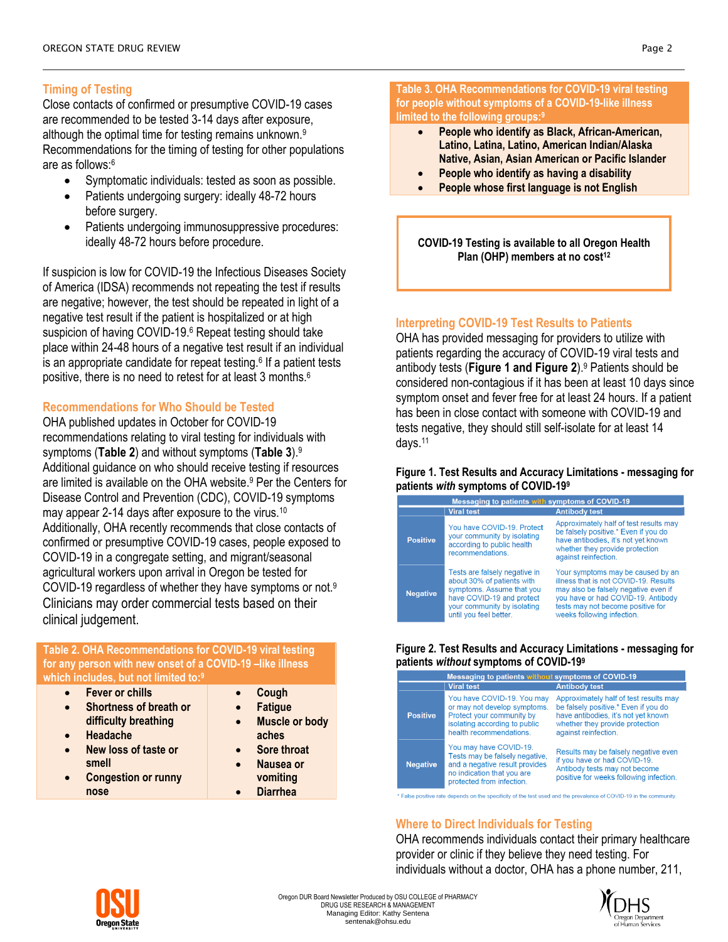# **Timing of Testing**

Close contacts of confirmed or presumptive COVID-19 cases are recommended to be tested 3-14 days after exposure, although the optimal time for testing remains unknown.<sup>9</sup> Recommendations for the timing of testing for other populations are as follows:<sup>6</sup>

- Symptomatic individuals: tested as soon as possible.
- Patients undergoing surgery: ideally 48-72 hours before surgery.
- Patients undergoing immunosuppressive procedures: ideally 48-72 hours before procedure.

If suspicion is low for COVID-19 the Infectious Diseases Society of America (IDSA) recommends not repeating the test if results are negative; however, the test should be repeated in light of a negative test result if the patient is hospitalized or at high suspicion of having COVID-19.<sup>6</sup> Repeat testing should take place within 24-48 hours of a negative test result if an individual is an appropriate candidate for repeat testing. $6$  If a patient tests positive, there is no need to retest for at least 3 months.<sup>6</sup>

## **Recommendations for Who Should be Tested**

OHA published updates in October for COVID-19 recommendations relating to viral testing for individuals with symptoms (**Table 2**) and without symptoms (**Table 3**). 9 Additional guidance on who should receive testing if resources are limited is available on the OHA website. <sup>9</sup> Per the Centers for Disease Control and Prevention (CDC), COVID-19 symptoms may appear 2-14 days after exposure to the virus.<sup>10</sup> Additionally, OHA recently recommends that close contacts of confirmed or presumptive COVID-19 cases, people exposed to COVID-19 in a congregate setting, and migrant/seasonal agricultural workers upon arrival in Oregon be tested for COVID-19 regardless of whether they have symptoms or not.<sup>9</sup> Clinicians may order commercial tests based on their clinical judgement.

#### **Table 2. OHA Recommendations for COVID-19 viral testing for any person with new onset of a COVID-19 –like illness which includes, but not limited to:<sup>9</sup>**

- **Fever or chills**
- **Shortness of breath or difficulty breathing**
- **Headache**
- **New loss of taste or smell**
- **Congestion or runny nose**
- **Cough**
- **Fatigue**
- **Muscle or body aches**
- **Sore throat Nausea or**
- **vomiting**
- **Diarrhea**

**Table 3. OHA Recommendations for COVID-19 viral testing for people without symptoms of a COVID-19-like illness limited to the following groups:<sup>9</sup>**

- **People who identify as Black, African-American, Latino, Latina, Latino, American Indian/Alaska Native, Asian, Asian American or Pacific Islander**
- **People who identify as having a disability**
- **People whose first language is not English**

**COVID-19 Testing is available to all Oregon Health Plan (OHP) members at no cost<sup>12</sup>**

## **Interpreting COVID-19 Test Results to Patients**

OHA has provided messaging for providers to utilize with patients regarding the accuracy of COVID-19 viral tests and antibody tests (**Figure 1 and Figure 2**).<sup>9</sup> Patients should be considered non-contagious if it has been at least 10 days since symptom onset and fever free for at least 24 hours. If a patient has been in close contact with someone with COVID-19 and tests negative, they should still self-isolate for at least 14 days.<sup>11</sup>

#### **Figure 1. Test Results and Accuracy Limitations - messaging for patients** *with* **symptoms of COVID-19<sup>9</sup>**

| Messaging to patients with symptoms of COVID-19 |                                                                                                                                                                                |                                                                                                                                                                                                                             |  |  |
|-------------------------------------------------|--------------------------------------------------------------------------------------------------------------------------------------------------------------------------------|-----------------------------------------------------------------------------------------------------------------------------------------------------------------------------------------------------------------------------|--|--|
|                                                 | <b>Viral test</b>                                                                                                                                                              | <b>Antibody test</b>                                                                                                                                                                                                        |  |  |
| <b>Positive</b>                                 | You have COVID-19, Protect<br>your community by isolating<br>according to public health<br>recommendations.                                                                    | Approximately half of test results may<br>be falsely positive.* Even if you do<br>have antibodies, it's not yet known<br>whether they provide protection<br>against reinfection.                                            |  |  |
| <b>Negative</b>                                 | Tests are falsely negative in<br>about 30% of patients with<br>symptoms. Assume that you<br>have COVID-19 and protect<br>vour community by isolating<br>until you feel better. | Your symptoms may be caused by an<br>illness that is not COVID-19. Results<br>may also be falsely negative even if<br>vou have or had COVID-19. Antibody<br>tests may not become positive for<br>weeks following infection. |  |  |

#### **Figure 2. Test Results and Accuracy Limitations - messaging for patients** *without* **symptoms of COVID-19<sup>9</sup>**

| Messaging to patients without symptoms of COVID-19 |                                                                                                                                                       |                                                                                                                                                                                  |  |  |
|----------------------------------------------------|-------------------------------------------------------------------------------------------------------------------------------------------------------|----------------------------------------------------------------------------------------------------------------------------------------------------------------------------------|--|--|
|                                                    | <b>Viral test</b>                                                                                                                                     | <b>Antibody test</b>                                                                                                                                                             |  |  |
| <b>Positive</b>                                    | You have COVID-19. You may<br>or may not develop symptoms.<br>Protect your community by<br>isolating according to public<br>health recommendations.   | Approximately half of test results may<br>be falsely positive.* Even if you do<br>have antibodies, it's not yet known<br>whether they provide protection<br>against reinfection. |  |  |
| <b>Negative</b>                                    | You may have COVID-19.<br>Tests may be falsely negative,<br>and a negative result provides<br>no indication that you are<br>protected from infection. | Results may be falsely negative even<br>if you have or had COVID-19.<br>Antibody tests may not become<br>positive for weeks following infection.                                 |  |  |

" False positive rate depends on the specificity of the test used and the prevalence of COVID-19 in the community

# **Where to Direct Individuals for Testing**

OHA recommends individuals contact their primary healthcare provider or clinic if they believe they need testing. For individuals without a doctor, OHA has a phone number, 211,



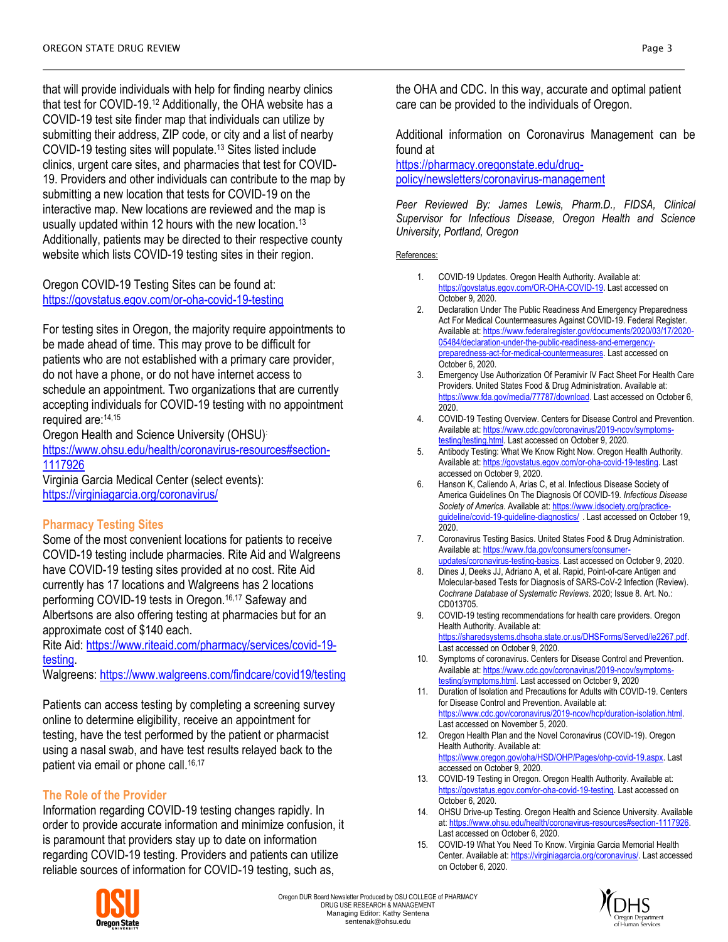that will provide individuals with help for finding nearby clinics that test for COVID-19.<sup>12</sup> Additionally, the OHA website has a COVID-19 test site finder map that individuals can utilize by submitting their address, ZIP code, or city and a list of nearby COVID-19 testing sites will populate.<sup>13</sup> Sites listed include clinics, urgent care sites, and pharmacies that test for COVID-19. Providers and other individuals can contribute to the map by submitting a new location that tests for COVID-19 on the interactive map. New locations are reviewed and the map is usually updated within 12 hours with the new location.<sup>13</sup> Additionally, patients may be directed to their respective county website which lists COVID-19 testing sites in their region.

Oregon COVID-19 Testing Sites can be found at: <https://govstatus.egov.com/or-oha-covid-19-testing>

For testing sites in Oregon, the majority require appointments to be made ahead of time. This may prove to be difficult for patients who are not established with a primary care provider, do not have a phone, or do not have internet access to schedule an appointment. Two organizations that are currently accepting individuals for COVID-19 testing with no appointment required are: 14,15

Oregon Health and Science University (OHSU):

[https://www.ohsu.edu/health/coronavirus-resources#section-](https://www.ohsu.edu/health/coronavirus-resources#section-1117926)[1117926](https://www.ohsu.edu/health/coronavirus-resources#section-1117926)

Virginia Garcia Medical Center (select events): <https://virginiagarcia.org/coronavirus/>

## **Pharmacy Testing Sites**

Some of the most convenient locations for patients to receive COVID-19 testing include pharmacies. Rite Aid and Walgreens have COVID-19 testing sites provided at no cost. Rite Aid currently has 17 locations and Walgreens has 2 locations performing COVID-19 tests in Oregon.16,17 Safeway and Albertsons are also offering testing at pharmacies but for an approximate cost of \$140 each.

Rite Aid: [https://www.riteaid.com/pharmacy/services/covid-19](https://www.riteaid.com/pharmacy/services/covid-19-testing) [testing.](https://www.riteaid.com/pharmacy/services/covid-19-testing)

Walgreens:<https://www.walgreens.com/findcare/covid19/testing>

Patients can access testing by completing a screening survey online to determine eligibility, receive an appointment for testing, have the test performed by the patient or pharmacist using a nasal swab, and have test results relayed back to the patient via email or phone call.<sup>16,17</sup>

# **The Role of the Provider**

Information regarding COVID-19 testing changes rapidly. In order to provide accurate information and minimize confusion, it is paramount that providers stay up to date on information regarding COVID-19 testing. Providers and patients can utilize reliable sources of information for COVID-19 testing, such as,



the OHA and CDC. In this way, accurate and optimal patient care can be provided to the individuals of Oregon.

Additional information on Coronavirus Management can be found at

[https://pharmacy.oregonstate.edu/drug](https://pharmacy.oregonstate.edu/drug-policy/newsletters/coronavirus-management)[policy/newsletters/coronavirus-management](https://pharmacy.oregonstate.edu/drug-policy/newsletters/coronavirus-management)

*Peer Reviewed By: James Lewis, Pharm.D., FIDSA, Clinical Supervisor for Infectious Disease, Oregon Health and Science University, Portland, Oregon* 

#### References:

- 1. COVID-19 Updates. Oregon Health Authority. Available at: [https://govstatus.egov.com/OR-OHA-COVID-19.](https://govstatus.egov.com/OR-OHA-COVID-19) Last accessed on October 9, 2020.
- 2. Declaration Under The Public Readiness And Emergency Preparedness Act For Medical Countermeasures Against COVID-19. Federal Register. Available at[: https://www.federalregister.gov/documents/2020/03/17/2020-](https://www.federalregister.gov/documents/2020/03/17/2020-05484/declaration-under-the-public-readiness-and-emergency-preparedness-act-for-medical-countermeasures) [05484/declaration-under-the-public-readiness-and-emergency](https://www.federalregister.gov/documents/2020/03/17/2020-05484/declaration-under-the-public-readiness-and-emergency-preparedness-act-for-medical-countermeasures)[preparedness-act-for-medical-countermeasures.](https://www.federalregister.gov/documents/2020/03/17/2020-05484/declaration-under-the-public-readiness-and-emergency-preparedness-act-for-medical-countermeasures) Last accessed on October 6, 2020.
- 3. Emergency Use Authorization Of Peramivir IV Fact Sheet For Health Care Providers. United States Food & Drug Administration. Available at: [https://www.fda.gov/media/77787/download.](https://www.fda.gov/media/77787/download) Last accessed on October 6, 2020.
- 4. COVID-19 Testing Overview. Centers for Disease Control and Prevention. Available at[: https://www.cdc.gov/coronavirus/2019-ncov/symptoms](https://www.cdc.gov/coronavirus/2019-ncov/symptoms-testing/testing.html)[testing/testing.html.](https://www.cdc.gov/coronavirus/2019-ncov/symptoms-testing/testing.html) Last accessed on October 9, 2020.
- 5. Antibody Testing: What We Know Right Now. Oregon Health Authority. Available at[: https://govstatus.egov.com/or-oha-covid-19-testing.](https://govstatus.egov.com/or-oha-covid-19-testing) Last accessed on October 9, 2020.
- 6. Hanson K, Caliendo A, Arias C, et al. Infectious Disease Society of America Guidelines On The Diagnosis Of COVID-19*. Infectious Disease Society of America*. Available at[: https://www.idsociety.org/practice](https://www.idsociety.org/practice-guideline/covid-19-guideline-diagnostics/)[guideline/covid-19-guideline-diagnostics/](https://www.idsociety.org/practice-guideline/covid-19-guideline-diagnostics/) . Last accessed on October 19, 2020.
- 7. Coronavirus Testing Basics. United States Food & Drug Administration. Available at[: https://www.fda.gov/consumers/consumer](https://www.fda.gov/consumers/consumer-updates/coronavirus-testing-basics)[updates/coronavirus-testing-basics.](https://www.fda.gov/consumers/consumer-updates/coronavirus-testing-basics) Last accessed on October 9, 2020.
- 8. Dines J, Deeks JJ, Adriano A, et al. Rapid, Point-of-care Antigen and Molecular-based Tests for Diagnosis of SARS-CoV-2 Infection (Review). *Cochrane Database of Systematic Reviews*. 2020; Issue 8. Art. No.: CD013705.
- 9. COVID-19 testing recommendations for health care providers. Oregon Health Authority. Available at: [https://sharedsystems.dhsoha.state.or.us/DHSForms/Served/le2267.pdf.](https://sharedsystems.dhsoha.state.or.us/DHSForms/Served/le2267.pdf)

Last accessed on October 9, 2020. 10. Symptoms of coronavirus. Centers for Disease Control and Prevention.

- Available at[: https://www.cdc.gov/coronavirus/2019-ncov/symptoms](https://www.cdc.gov/coronavirus/2019-ncov/symptoms-testing/symptoms.html)testing/symptoms.html</u>. Last accessed on October 9, 2020 11. Duration of Isolation and Precautions for Adults with COVID-19. Centers
- for Disease Control and Prevention. Available at: https://www.cdc.gov/coronavirus/2019-ncov/hcp/duration-isolation.html. Last accessed on November 5, 2020.
- 12. Oregon Health Plan and the Novel Coronavirus (COVID-19). Oregon Health Authority. Available at: [https://www.oregon.gov/oha/HSD/OHP/Pages/ohp-covid-19.aspx.](https://www.oregon.gov/oha/HSD/OHP/Pages/ohp-covid-19.aspx) Last accessed on October 9, 2020.
- 13. COVID-19 Testing in Oregon. Oregon Health Authority. Available at: [https://govstatus.egov.com/or-oha-covid-19-testing.](https://govstatus.egov.com/or-oha-covid-19-testing) Last accessed on October 6, 2020.
- 14. OHSU Drive-up Testing. Oregon Health and Science University. Available at[: https://www.ohsu.edu/health/coronavirus-resources#section-1117926.](https://www.ohsu.edu/health/coronavirus-resources#section-1117926)  Last accessed on October 6, 2020.
- 15. COVID-19 What You Need To Know. Virginia Garcia Memorial Health Center. Available at[: https://virginiagarcia.org/coronavirus/.](https://virginiagarcia.org/coronavirus/) Last accessed on October 6, 2020.

Oregon DUR Board Newsletter Produced by OSU COLLEGE of PHARMACY DRUG USE RESEARCH & MANAGEMENT Managing Editor: Kathy Sentena sentenak@ohsu.edu